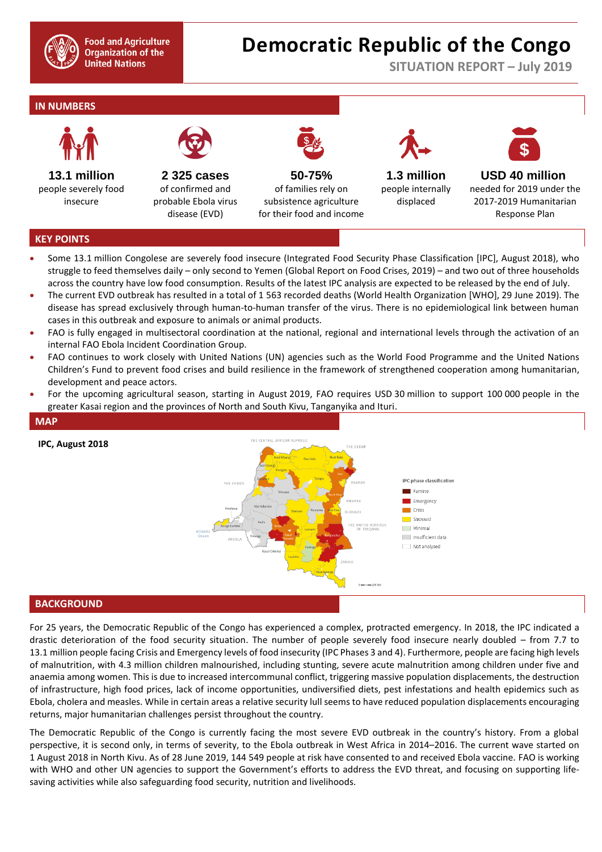

# **Democratic Republic of the Congo**

**SITUATION REPORT – July 2019**

## **IN NUMBERS**



**13.1 million** people severely food insecure



**2 325 cases** of confirmed and probable Ebola virus disease (EVD)

**50-75%**  of families rely on subsistence agriculture for their food and income



**1.3 million** people internally displaced



**USD 40 million** needed for 2019 under the 2017-2019 Humanitarian Response Plan

#### **KEY POINTS**

- Some 13.1 million Congolese are severely food insecure (Integrated Food Security Phase Classification [IPC], August 2018), who struggle to feed themselves daily – only second to Yemen (Global Report on Food Crises, 2019) – and two out of three households across the country have low food consumption. Results of the latest IPC analysis are expected to be released by the end of July.
- The current EVD outbreak has resulted in a total of 1 563 recorded deaths (World Health Organization [WHO], 29 June 2019). The disease has spread exclusively through human-to-human transfer of the virus. There is no epidemiological link between human cases in this outbreak and exposure to animals or animal products.
- FAO is fully engaged in multisectoral coordination at the national, regional and international levels through the activation of an internal FAO Ebola Incident Coordination Group.
- FAO continues to work closely with United Nations (UN) agencies such as the World Food Programme and the United Nations Children's Fund to prevent food crises and build resilience in the framework of strengthened cooperation among humanitarian, development and peace actors.
- For the upcoming agricultural season, starting in August 2019, FAO requires USD 30 million to support 100 000 people in the greater Kasai region and the provinces of North and South Kivu, Tanganyika and Ituri.



**BACKGROUND** 

For 25 years, the Democratic Republic of the Congo has experienced a complex, protracted emergency. In 2018, the IPC indicated a drastic deterioration of the food security situation. The number of people severely food insecure nearly doubled – from 7.7 to 13.1 million people facing Crisis and Emergency levels of food insecurity (IPC Phases 3 and 4). Furthermore, people are facing high levels of malnutrition, with 4.3 million children malnourished, including stunting, severe acute malnutrition among children under five and anaemia among women. This is due to increased intercommunal conflict, triggering massive population displacements, the destruction of infrastructure, high food prices, lack of income opportunities, undiversified diets, pest infestations and health epidemics such as Ebola, cholera and measles. While in certain areas a relative security lull seems to have reduced population displacements encouraging returns, major humanitarian challenges persist throughout the country.

The Democratic Republic of the Congo is currently facing the most severe EVD outbreak in the country's history. From a global perspective, it is second only, in terms of severity, to the Ebola outbreak in West Africa in 2014–2016. The current wave started on 1 August 2018 in North Kivu. As of 28 June 2019, 144 549 people at risk have consented to and received Ebola vaccine. FAO is working with WHO and other UN agencies to support the Government's efforts to address the EVD threat, and focusing on supporting lifesaving activities while also safeguarding food security, nutrition and livelihoods.